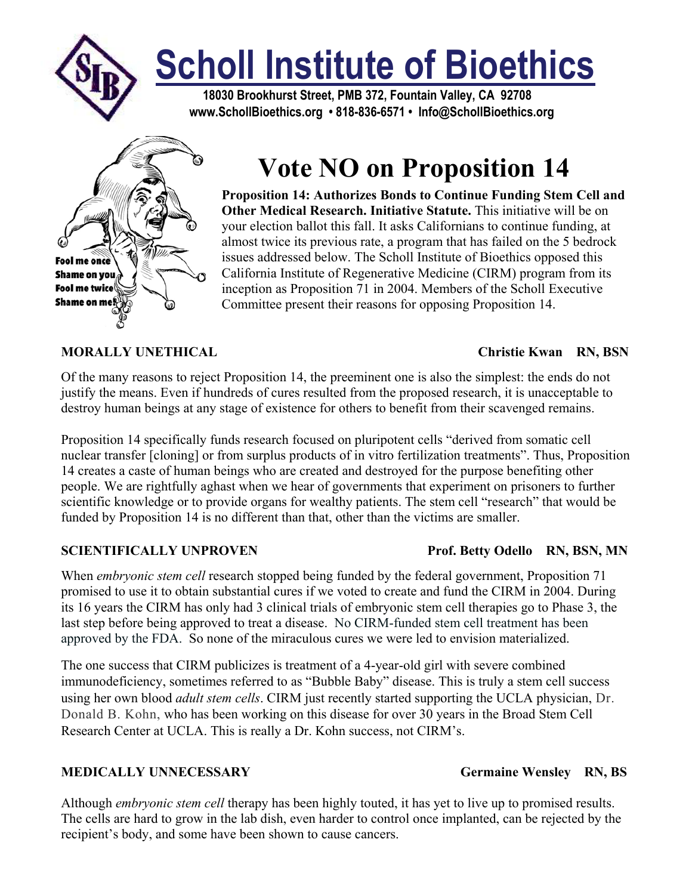

# **Scholl Institute of Bioethics**

 **18030 Brookhurst Street, PMB 372, Fountain Valley, CA 92708 www.SchollBioethics.org • 818-836-6571 • Info@SchollBioethics.org**



## **Vote NO on Proposition 14**

**Proposition 14: Authorizes Bonds to Continue Funding Stem Cell and Other Medical Research. Initiative Statute.** This initiative will be on your election ballot this fall. It asks Californians to continue funding, at almost twice its previous rate, a program that has failed on the 5 bedrock issues addressed below. The Scholl Institute of Bioethics opposed this California Institute of Regenerative Medicine (CIRM) program from its inception as Proposition 71 in 2004. Members of the Scholl Executive Committee present their reasons for opposing Proposition 14.

### **MORALLY UNETHICAL Christie Kwan RN, BSN**

Of the many reasons to reject Proposition 14, the preeminent one is also the simplest: the ends do not justify the means. Even if hundreds of cures resulted from the proposed research, it is unacceptable to destroy human beings at any stage of existence for others to benefit from their scavenged remains.

Proposition 14 specifically funds research focused on pluripotent cells "derived from somatic cell nuclear transfer [cloning] or from surplus products of in vitro fertilization treatments". Thus, Proposition 14 creates a caste of human beings who are created and destroyed for the purpose benefiting other people. We are rightfully aghast when we hear of governments that experiment on prisoners to further scientific knowledge or to provide organs for wealthy patients. The stem cell "research" that would be funded by Proposition 14 is no different than that, other than the victims are smaller.

When *embryonic stem cell* research stopped being funded by the federal government, Proposition 71 promised to use it to obtain substantial cures if we voted to create and fund the CIRM in 2004. During its 16 years the CIRM has only had 3 clinical trials of embryonic stem cell therapies go to Phase 3, the last step before being approved to treat a disease. No CIRM-funded stem cell treatment has been approved by the FDA. So none of the miraculous cures we were led to envision materialized.

The one success that CIRM publicizes is treatment of a 4-year-old girl with severe combined immunodeficiency, sometimes referred to as "Bubble Baby" disease. This is truly a stem cell success using her own blood *adult stem cells*. CIRM just recently started supporting the UCLA physician, Dr. Donald B. Kohn, who has been working on this disease for over 30 years in the Broad Stem Cell Research Center at UCLA. This is really a Dr. Kohn success, not CIRM's.

### **MEDICALLY UNNECESSARY** Germaine Wensley RN, BS

Although *embryonic stem cell* therapy has been highly touted, it has yet to live up to promised results. The cells are hard to grow in the lab dish, even harder to control once implanted, can be rejected by the recipient's body, and some have been shown to cause cancers.

### **SCIENTIFICALLY UNPROVEN** Prof. Betty Odello RN, BSN, MN